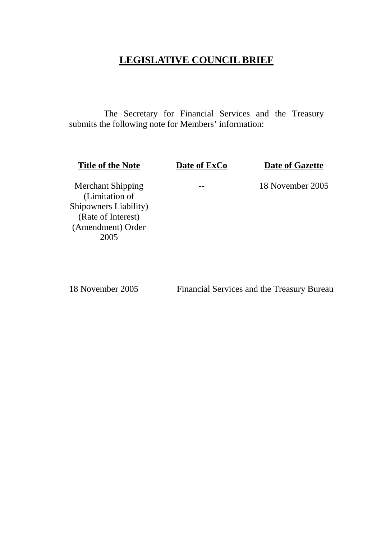# **LEGISLATIVE COUNCIL BRIEF**

 The Secretary for Financial Services and the Treasury submits the following note for Members' information:

**Title of the Note** Date of ExCo Date of Gazette

Merchant Shipping (Limitation of Shipowners Liability) (Rate of Interest) (Amendment) Order 2005

18 November 2005 Financial Services and the Treasury Bureau

-- 18 November 2005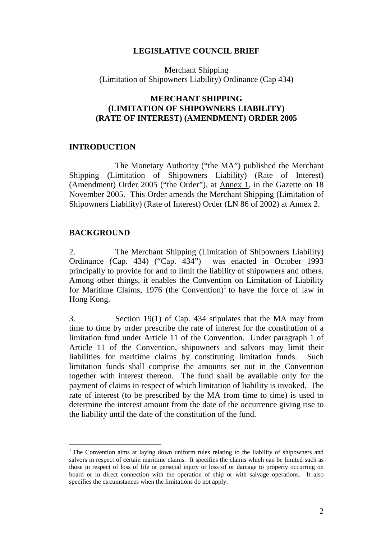# **LEGISLATIVE COUNCIL BRIEF**

Merchant Shipping (Limitation of Shipowners Liability) Ordinance (Cap 434)

# **MERCHANT SHIPPING (LIMITATION OF SHIPOWNERS LIABILITY) (RATE OF INTEREST) (AMENDMENT) ORDER 2005**

# **INTRODUCTION**

 The Monetary Authority ("the MA") published the Merchant Shipping (Limitation of Shipowners Liability) (Rate of Interest) (Amendment) Order 2005 ("the Order"), at Annex 1, in the Gazette on 18 November 2005. This Order amends the Merchant Shipping (Limitation of Shipowners Liability) (Rate of Interest) Order (LN 86 of 2002) at Annex 2.

### **BACKGROUND**

 $\overline{a}$ 

2. The Merchant Shipping (Limitation of Shipowners Liability) Ordinance (Cap. 434) ("Cap. 434") was enacted in October 1993 principally to provide for and to limit the liability of shipowners and others. Among other things, it enables the Convention on Limitation of Liability for Maritime Claims, 1976 (the Convention)<sup>1</sup> to have the force of law in Hong Kong.

3. Section 19(1) of Cap. 434 stipulates that the MA may from time to time by order prescribe the rate of interest for the constitution of a limitation fund under Article 11 of the Convention. Under paragraph 1 of Article 11 of the Convention, shipowners and salvors may limit their liabilities for maritime claims by constituting limitation funds. Such limitation funds shall comprise the amounts set out in the Convention together with interest thereon. The fund shall be available only for the payment of claims in respect of which limitation of liability is invoked. The rate of interest (to be prescribed by the MA from time to time) is used to determine the interest amount from the date of the occurrence giving rise to the liability until the date of the constitution of the fund.

<sup>&</sup>lt;sup>1</sup> The Convention aims at laying down uniform rules relating to the liability of shipowners and salvors in respect of certain maritime claims. It specifies the claims which can be limited such as those in respect of loss of life or personal injury or loss of or damage to property occurring on board or in direct connection with the operation of ship or with salvage operations. It also specifies the circumstances when the limitations do not apply.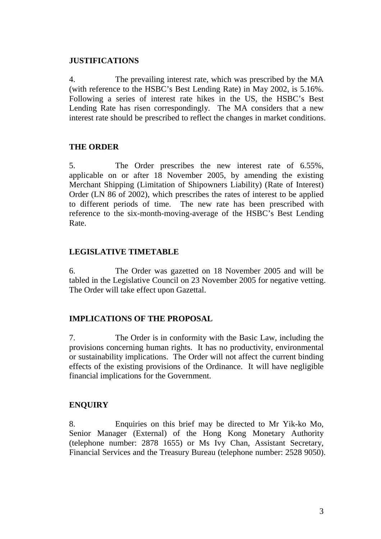# **JUSTIFICATIONS**

4. The prevailing interest rate, which was prescribed by the MA (with reference to the HSBC's Best Lending Rate) in May 2002, is 5.16%. Following a series of interest rate hikes in the US, the HSBC's Best Lending Rate has risen correspondingly. The MA considers that a new interest rate should be prescribed to reflect the changes in market conditions.

# **THE ORDER**

5. The Order prescribes the new interest rate of 6.55%, applicable on or after 18 November 2005, by amending the existing Merchant Shipping (Limitation of Shipowners Liability) (Rate of Interest) Order (LN 86 of 2002), which prescribes the rates of interest to be applied to different periods of time. The new rate has been prescribed with reference to the six-month-moving-average of the HSBC's Best Lending Rate.

# **LEGISLATIVE TIMETABLE**

6. The Order was gazetted on 18 November 2005 and will be tabled in the Legislative Council on 23 November 2005 for negative vetting. The Order will take effect upon Gazettal.

# **IMPLICATIONS OF THE PROPOSAL**

7. The Order is in conformity with the Basic Law, including the provisions concerning human rights. It has no productivity, environmental or sustainability implications. The Order will not affect the current binding effects of the existing provisions of the Ordinance. It will have negligible financial implications for the Government.

# **ENQUIRY**

8. Enquiries on this brief may be directed to Mr Yik-ko Mo, Senior Manager (External) of the Hong Kong Monetary Authority (telephone number: 2878 1655) or Ms Ivy Chan, Assistant Secretary, Financial Services and the Treasury Bureau (telephone number: 2528 9050).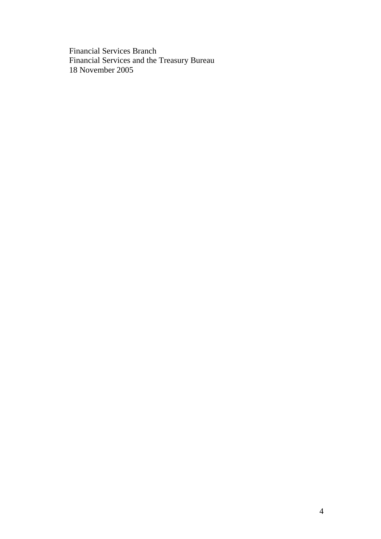Financial Services Branch Financial Services and the Treasury Bureau 18 November 2005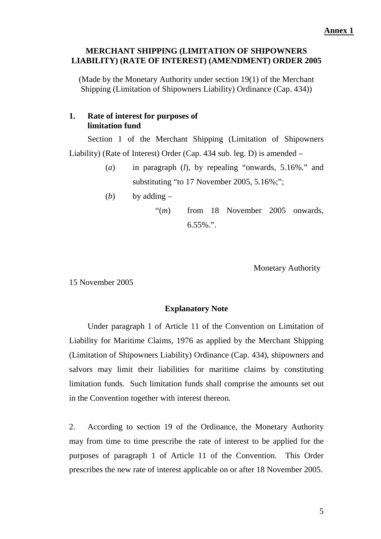# **MERCHANT SHIPPING (LIMITATION OF SHIPOWNERS LIABILITY) (RATE OF INTEREST) (AMENDMENT) ORDER 2005**

(Made by the Monetary Authority under section 19(1) of the Merchant Shipping (Limitation of Shipowners Liability) Ordinance (Cap. 434))

# **1. Rate of interest for purposes of limitation fund**

Section 1 of the Merchant Shipping (Limitation of Shipowners Liability) (Rate of Interest) Order (Cap. 434 sub. leg. D) is amended –

- (*a*) in paragraph (*l*), by repealing "onwards, 5.16%." and substituting "to 17 November 2005, 5.16%;";
- (*b*) by adding  $-$

"(*m*) from 18 November 2005 onwards,  $6.55\%$ .".

Monetary Authority

15 November 2005

# **Explanatory Note**

 Under paragraph 1 of Article 11 of the Convention on Limitation of Liability for Maritime Claims, 1976 as applied by the Merchant Shipping (Limitation of Shipowners Liability) Ordinance (Cap. 434), shipowners and salvors may limit their liabilities for maritime claims by constituting limitation funds. Such limitation funds shall comprise the amounts set out in the Convention together with interest thereon.

2. According to section 19 of the Ordinance, the Monetary Authority may from time to time prescribe the rate of interest to be applied for the purposes of paragraph 1 of Article 11 of the Convention. This Order prescribes the new rate of interest applicable on or after 18 November 2005.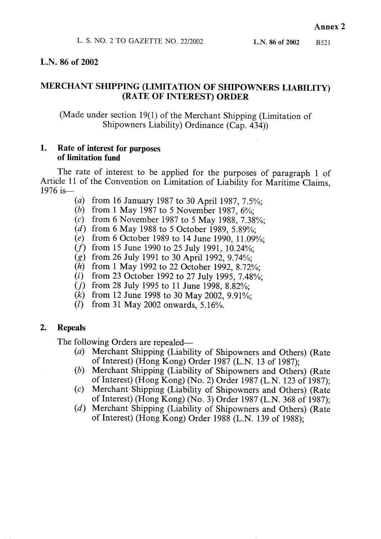# L.N. 86 of 2002

# MERCHANT SHIPPING (LIMITATION OF SHIPOWNERS LIABILITY) (RATE OF INTEREST) ORDER

(Made under section 19(1) of the Merchant Shipping (Limitation of Shipowners Liability) Ordinance (Cap. 434))

#### 1. Rate of interest for purposes of limitation fund

The rate of interest to be applied for the purposes of paragraph 1 of Article 11 of the Convention on Limitation of Liability for Maritime Claims, 1976 is-

- (a) from 16 January 1987 to 30 April 1987, 7.5%;
- (b) from 1 May 1987 to 5 November 1987,  $6\frac{6}{10}$ ;
- (c) from 6 November 1987 to 5 May 1988, 7.38%;
- (d) from 6 May 1988 to 5 October 1989, 5.89%:
- (e) from 6 October 1989 to 14 June 1990, 11.09%:
- $(f)$  from 15 June 1990 to 25 July 1991, 10.24%;
- (g) from 26 July 1991 to 30 April 1992, 9.74%;
- (h) from 1 May 1992 to 22 October 1992, 8.72%;
- (i) from 23 October 1992 to 27 July 1995, 7.48%;
- $(i)$  from 28 July 1995 to 11 June 1998, 8.82%;
- (k) from 12 June 1998 to 30 May 2002, 9.91%;
- $(l)$ from 31 May 2002 onwards,  $5.16\%$ .

#### $2.$ **Repeals**

The following Orders are repealed-

- (a) Merchant Shipping (Liability of Shipowners and Others) (Rate of Interest) (Hong Kong) Order 1987 (L.N. 13 of 1987);
- Merchant Shipping (Liability of Shipowners and Others) (Rate (b) of Interest) (Hong Kong) (No. 2) Order 1987 (L.N. 123 of 1987);
- $(c)$ Merchant Shipping (Liability of Shipowners and Others) (Rate of Interest) (Hong Kong) (No. 3) Order 1987 (L.N. 368 of 1987);
- (d) Merchant Shipping (Liability of Shipowners and Others) (Rate of Interest) (Hong Kong) Order 1988 (L.N. 139 of 1988);